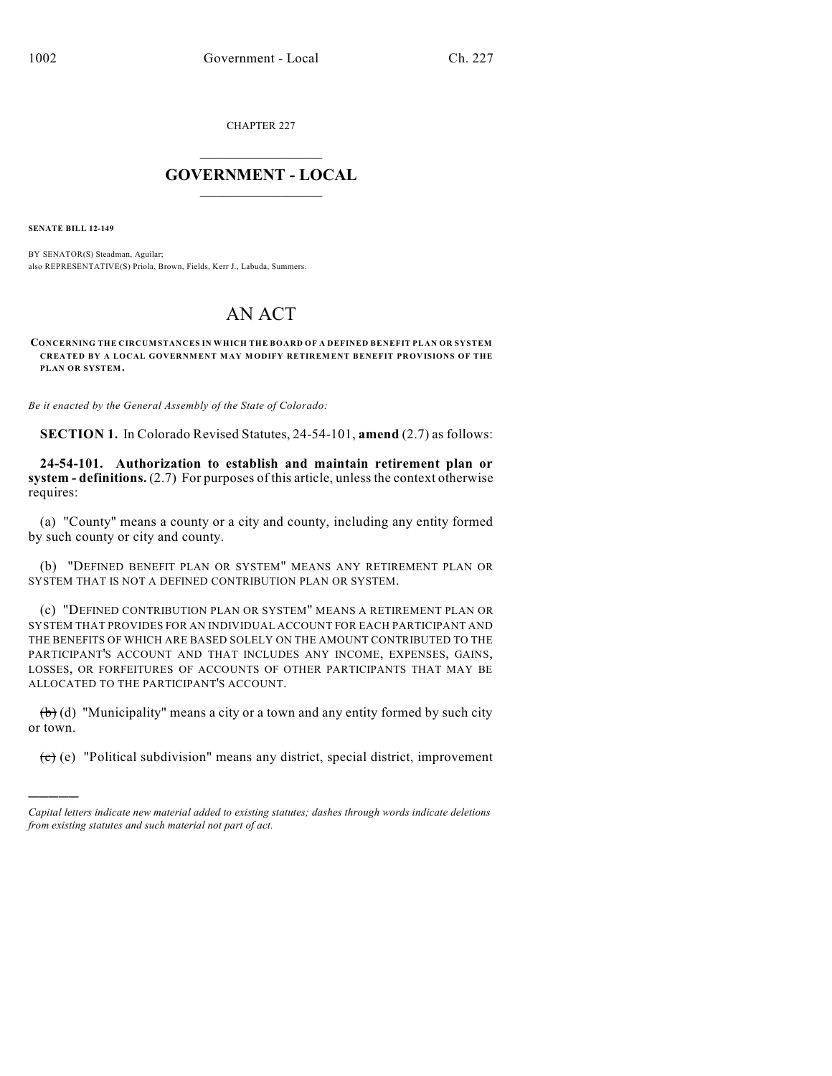CHAPTER 227

## $\overline{\phantom{a}}$  . The set of the set of the set of the set of the set of the set of the set of the set of the set of the set of the set of the set of the set of the set of the set of the set of the set of the set of the set o **GOVERNMENT - LOCAL**  $\_$

**SENATE BILL 12-149**

)))))

BY SENATOR(S) Steadman, Aguilar; also REPRESENTATIVE(S) Priola, Brown, Fields, Kerr J., Labuda, Summers.

## AN ACT

**CONCERNING THE CIRCUMSTANCES IN WHICH THE BOARD OF A DEFINED BENEFIT PLAN OR SYSTEM CREATED BY A LOCAL GOVERNMENT MAY MODIFY RETIREMENT BENEFIT PROVISIONS OF THE PLAN OR SYSTEM.**

*Be it enacted by the General Assembly of the State of Colorado:*

**SECTION 1.** In Colorado Revised Statutes, 24-54-101, **amend** (2.7) as follows:

**24-54-101. Authorization to establish and maintain retirement plan or system - definitions.** (2.7) For purposes of this article, unless the context otherwise requires:

(a) "County" means a county or a city and county, including any entity formed by such county or city and county.

(b) "DEFINED BENEFIT PLAN OR SYSTEM" MEANS ANY RETIREMENT PLAN OR SYSTEM THAT IS NOT A DEFINED CONTRIBUTION PLAN OR SYSTEM.

(c) "DEFINED CONTRIBUTION PLAN OR SYSTEM" MEANS A RETIREMENT PLAN OR SYSTEM THAT PROVIDES FOR AN INDIVIDUAL ACCOUNT FOR EACH PARTICIPANT AND THE BENEFITS OF WHICH ARE BASED SOLELY ON THE AMOUNT CONTRIBUTED TO THE PARTICIPANT'S ACCOUNT AND THAT INCLUDES ANY INCOME, EXPENSES, GAINS, LOSSES, OR FORFEITURES OF ACCOUNTS OF OTHER PARTICIPANTS THAT MAY BE ALLOCATED TO THE PARTICIPANT'S ACCOUNT.

(b) (d) "Municipality" means a city or a town and any entity formed by such city or town.

(c) (e) "Political subdivision" means any district, special district, improvement

*Capital letters indicate new material added to existing statutes; dashes through words indicate deletions from existing statutes and such material not part of act.*